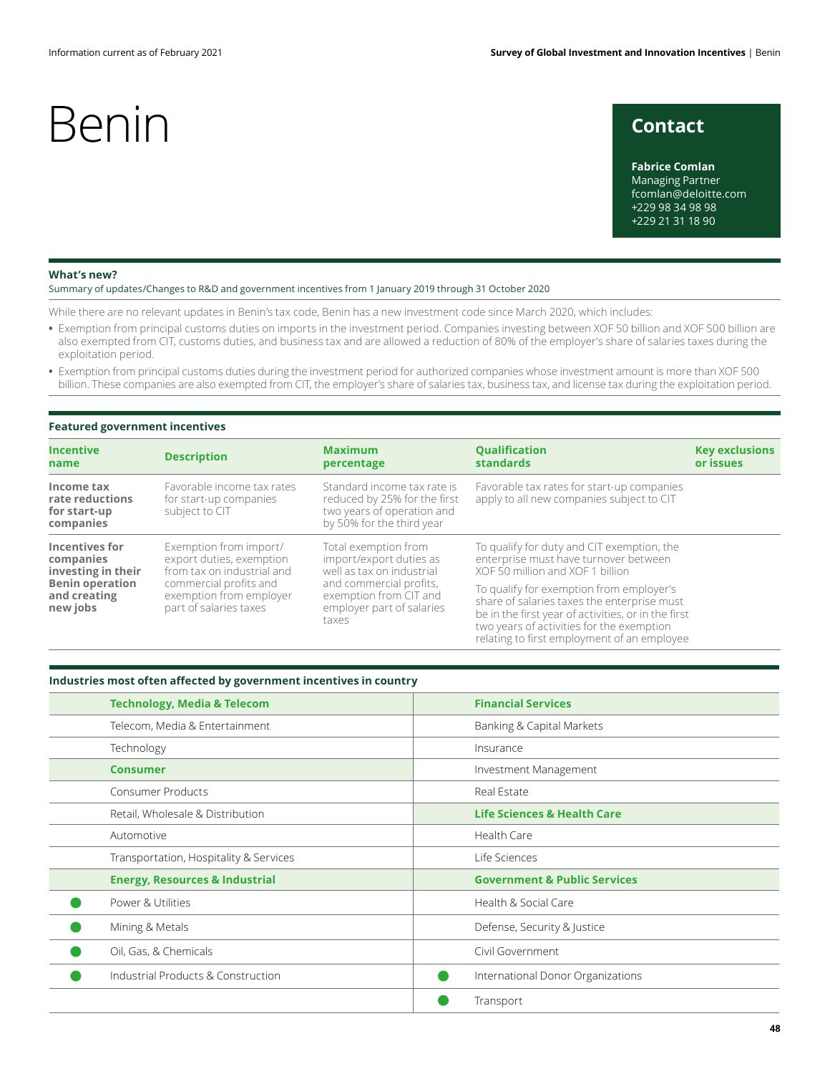## Benin contact

**Fabrice Comlan** Managing Partner fcomlan@deloitte.com +229 98 34 98 98 +229 21 31 18 90

#### **What's new?**

Summary of updates/Changes to R&D and government incentives from 1 January 2019 through 31 October 2020

While there are no relevant updates in Benin's tax code, Benin has a new investment code since March 2020, which includes:

- **•** Exemption from principal customs duties on imports in the investment period. Companies investing between XOF 50 billion and XOF 500 billion are also exempted from CIT, customs duties, and business tax and are allowed a reduction of 80% of the employer's share of salaries taxes during the exploitation period.
- **•** Exemption from principal customs duties during the investment period for authorized companies whose investment amount is more than XOF 500 billion. These companies are also exempted from CIT, the employer's share of salaries tax, business tax, and license tax during the exploitation period.

### **Featured government incentives**

| <b>Incentive</b>                                           | <b>Description</b>                                                          | <b>Maximum</b>                                                                                                         | <b>Qualification</b>                                                                                                                                                                                                                       | <b>Key exclusions</b> |
|------------------------------------------------------------|-----------------------------------------------------------------------------|------------------------------------------------------------------------------------------------------------------------|--------------------------------------------------------------------------------------------------------------------------------------------------------------------------------------------------------------------------------------------|-----------------------|
| name                                                       |                                                                             | percentage                                                                                                             | <b>standards</b>                                                                                                                                                                                                                           | or issues             |
| Income tax<br>rate reductions<br>for start-up<br>companies | Favorable income tax rates<br>for start-up companies<br>subject to CIT      | Standard income tax rate is<br>reduced by 25% for the first<br>two years of operation and<br>by 50% for the third year | Favorable tax rates for start-up companies<br>apply to all new companies subject to CIT                                                                                                                                                    |                       |
| Incentives for                                             | Exemption from import/                                                      | Total exemption from                                                                                                   | To qualify for duty and CIT exemption, the                                                                                                                                                                                                 |                       |
| companies                                                  | export duties, exemption                                                    | import/export duties as                                                                                                | enterprise must have turnover between                                                                                                                                                                                                      |                       |
| investing in their                                         | from tax on industrial and                                                  | well as tax on industrial                                                                                              | XOF 50 million and XOF 1 billion                                                                                                                                                                                                           |                       |
| <b>Benin operation</b><br>and creating<br>new jobs         | commercial profits and<br>exemption from employer<br>part of salaries taxes | and commercial profits,<br>exemption from CIT and<br>employer part of salaries<br>taxes                                | To qualify for exemption from employer's<br>share of salaries taxes the enterprise must<br>be in the first year of activities, or in the first<br>two years of activities for the exemption<br>relating to first employment of an employee |                       |

### **Industries most often affected by government incentives in country**

| <b>Technology, Media &amp; Telecom</b>    | <b>Financial Services</b>               |  |
|-------------------------------------------|-----------------------------------------|--|
| Telecom, Media & Entertainment            | Banking & Capital Markets               |  |
| Technology                                | Insurance                               |  |
| <b>Consumer</b>                           | Investment Management                   |  |
| <b>Consumer Products</b>                  | Real Estate                             |  |
| Retail, Wholesale & Distribution          | <b>Life Sciences &amp; Health Care</b>  |  |
| Automotive                                | Health Care                             |  |
| Transportation, Hospitality & Services    | Life Sciences                           |  |
| <b>Energy, Resources &amp; Industrial</b> | <b>Government &amp; Public Services</b> |  |
| Power & Utilities                         | Health & Social Care                    |  |
| Mining & Metals                           | Defense, Security & Justice             |  |
| Oil, Gas, & Chemicals                     | Civil Government                        |  |
| Industrial Products & Construction        | International Donor Organizations       |  |
|                                           | Transport                               |  |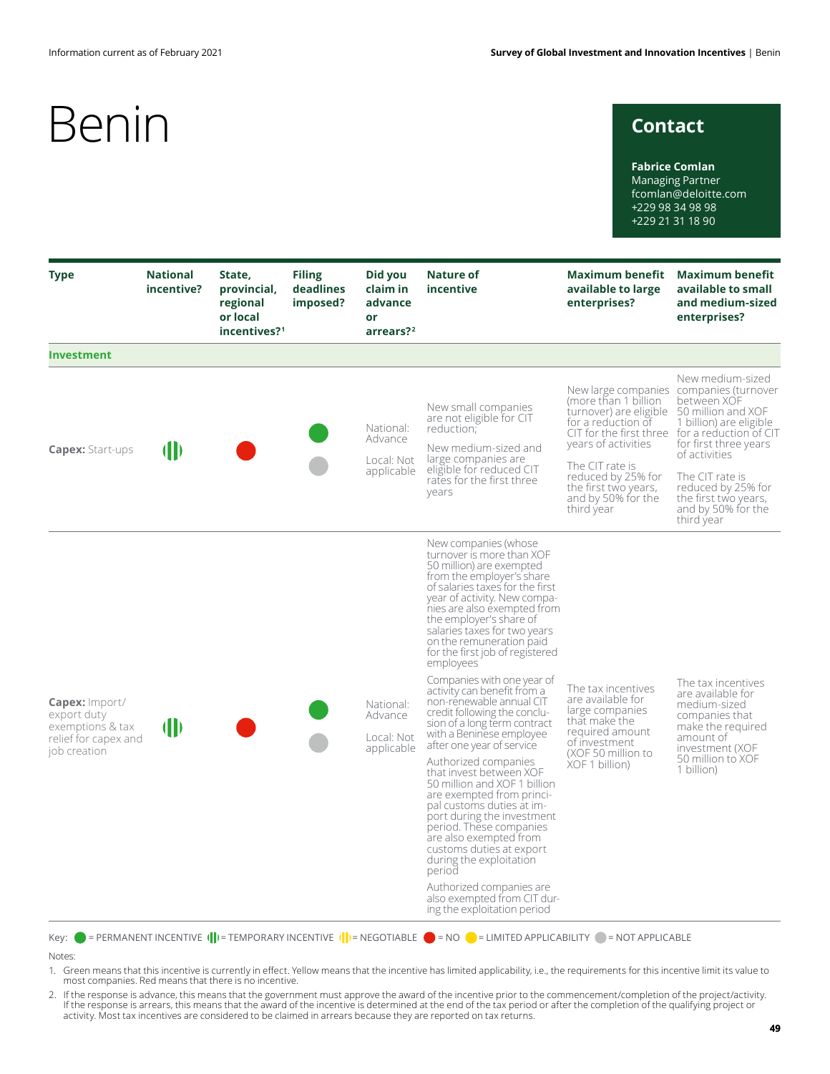## **Contact**

**Fabrice Comlan** Managing Partner fcomlan@deloitte.com +229 98 34 98 98 +229 21 31 18 90

| <b>Type</b>                                                                                      | <b>National</b><br>incentive? | State,<br>provincial,<br>regional<br>or local<br>incentives? <sup>1</sup> | <b>Filing</b><br>deadlines<br>imposed? | Did you<br>claim in<br>advance<br>or<br>arrears? <sup>2</sup>                                                                                                                                                                                                                                 | Nature of<br>incentive                                                                                                                                                                                                                                                                                                                              | <b>Maximum benefit</b><br>available to large<br>enterprises?                                                                                                                                     | <b>Maximum benefit</b><br>available to small<br>and medium-sized<br>enterprises?                                                                                                                                                                                                                                             |
|--------------------------------------------------------------------------------------------------|-------------------------------|---------------------------------------------------------------------------|----------------------------------------|-----------------------------------------------------------------------------------------------------------------------------------------------------------------------------------------------------------------------------------------------------------------------------------------------|-----------------------------------------------------------------------------------------------------------------------------------------------------------------------------------------------------------------------------------------------------------------------------------------------------------------------------------------------------|--------------------------------------------------------------------------------------------------------------------------------------------------------------------------------------------------|------------------------------------------------------------------------------------------------------------------------------------------------------------------------------------------------------------------------------------------------------------------------------------------------------------------------------|
| <b>Investment</b>                                                                                |                               |                                                                           |                                        |                                                                                                                                                                                                                                                                                               |                                                                                                                                                                                                                                                                                                                                                     |                                                                                                                                                                                                  |                                                                                                                                                                                                                                                                                                                              |
| <b>Capex: Start-ups</b>                                                                          | (II)                          |                                                                           |                                        | National:<br>Advance<br>Local: Not<br>applicable                                                                                                                                                                                                                                              | New small companies<br>are not eligible for CIT<br>reduction:<br>New medium-sized and<br>large companies are<br>eligible for reduced CIT<br>rates for the first three<br>years                                                                                                                                                                      | (more than 1 billion<br>turnover) are eligible<br>for a reduction of<br>years of activities<br>The CIT rate is<br>reduced by 25% for<br>the first two years,<br>and by 50% for the<br>third year | New medium-sized<br>New large companies companies (turnover<br>between XOF<br>50 million and XOF<br>1 billion) are eligible<br>CIT for the first three for a reduction of CIT<br>for first three years<br>of activities<br>The CIT rate is<br>reduced by 25% for<br>the first two years,<br>and by 50% for the<br>third year |
|                                                                                                  |                               |                                                                           |                                        |                                                                                                                                                                                                                                                                                               | New companies (whose<br>turnover is more than XOF<br>50 million) are exempted<br>from the employer's share<br>of salaries taxes for the first<br>year of activity. New compa-<br>nies are also exempted from<br>the employer's share of<br>salaries taxes for two years<br>on the remuneration paid<br>for the first job of registered<br>employees |                                                                                                                                                                                                  |                                                                                                                                                                                                                                                                                                                              |
| <b>Capex:</b> Import/<br>export duty<br>exemptions & tax<br>relief for capex and<br>job creation | <b>(II)</b>                   |                                                                           |                                        | National:<br>Advance<br>Local: Not<br>applicable                                                                                                                                                                                                                                              | Companies with one year of<br>activity can benefit from a<br>non-renewable annual CIT<br>credit following the conclu-<br>sion of a long term contract<br>with a Beninese employee<br>after one year of service                                                                                                                                      | The tax incentives<br>are available for<br>large companies<br>that make the<br>required amount<br>of investment                                                                                  | The tax incentives<br>are available for<br>medium-sized<br>companies that<br>make the required<br>amount of<br>investment (XOF                                                                                                                                                                                               |
|                                                                                                  |                               |                                                                           |                                        | Authorized companies<br>that invest between XOF<br>50 million and XOF 1 billion<br>are exempted from princi-<br>pal customs duties at im-<br>port during the investment<br>period. These companies<br>are also exempted from<br>customs duties at export<br>during the exploitation<br>period | (XOF 50 million to<br>XOF 1 billion)                                                                                                                                                                                                                                                                                                                | 50 million to XOF<br>1 billion)                                                                                                                                                                  |                                                                                                                                                                                                                                                                                                                              |
|                                                                                                  |                               |                                                                           |                                        |                                                                                                                                                                                                                                                                                               | Authorized companies are<br>also exempted from CIT dur-<br>ing the exploitation period                                                                                                                                                                                                                                                              |                                                                                                                                                                                                  |                                                                                                                                                                                                                                                                                                                              |

Key:  $\bullet$  = PERMANENT INCENTIVE  $(\cdot|\cdot)$  = TEMPORARY INCENTIVE  $(\cdot|\cdot)$  = NEGOTIABLE  $\bullet$  = NO  $\bullet$  = LIMITED APPLICABILITY  $\bullet$  = NOT APPLICABLE

#### Notes:

- 1. Green means that this incentive is currently in effect. Yellow means that the incentive has limited applicability, i.e., the requirements for this incentive limit its value to most companies. Red means that there is no incentive.
- 2. If the response is advance, this means that the government must approve the award of the incentive prior to the commencement/completion of the project/activity. If the response is arrears, this means that the award of the incentive is determined at the end of the tax period or after the completion of the qualifying project or activity. Most tax incentives are considered to be claimed in arrears because they are reported on tax returns.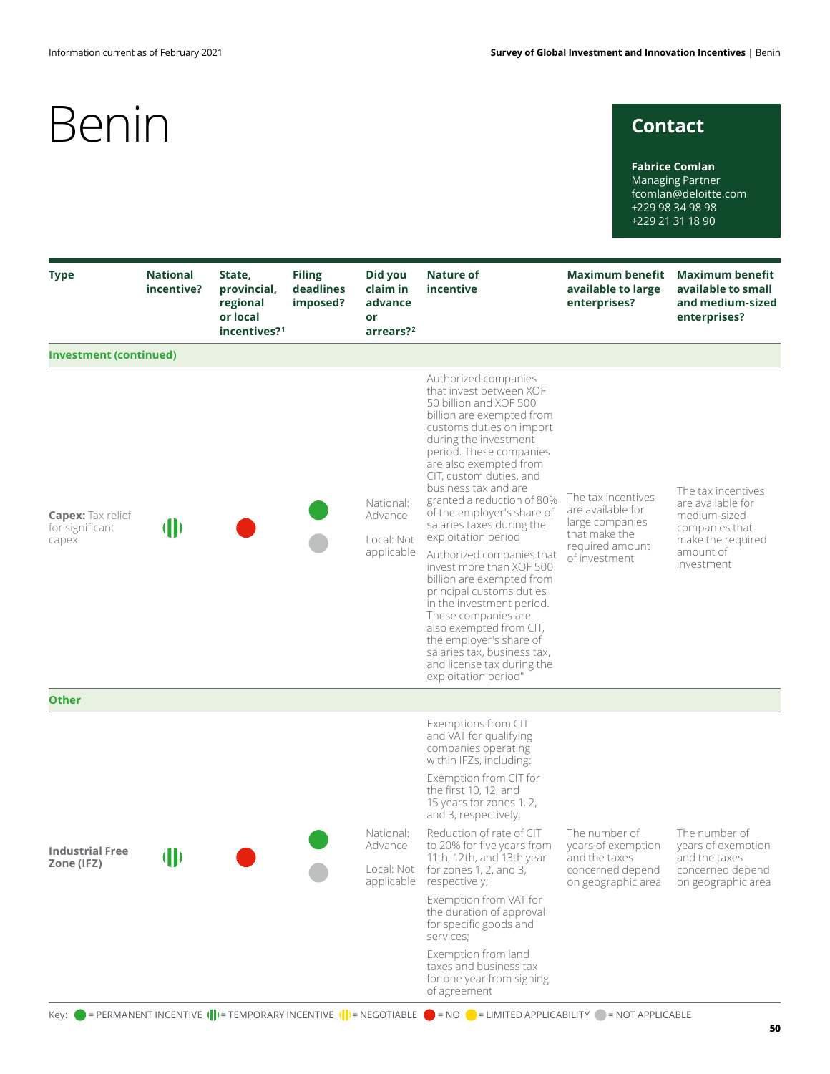## **Contact**

**Fabrice Comlan** Managing Partner fcomlan@deloitte.com +229 98 34 98 98 +229 21 31 18 90

| <b>Type</b>                                          | <b>National</b><br>incentive? | State,<br>provincial,<br>regional<br>or local<br>incentives? <sup>1</sup> | <b>Filing</b><br>deadlines<br>imposed? | Did you<br>claim in<br>advance<br>or<br>arrears? <sup>2</sup>                             | Nature of<br>incentive                                                                                                                                                                                                                                                                                                                                                              | Maximum benefit<br>available to large<br>enterprises?                                                           | <b>Maximum benefit</b><br>available to small<br>and medium-sized<br>enterprises?                                          |
|------------------------------------------------------|-------------------------------|---------------------------------------------------------------------------|----------------------------------------|-------------------------------------------------------------------------------------------|-------------------------------------------------------------------------------------------------------------------------------------------------------------------------------------------------------------------------------------------------------------------------------------------------------------------------------------------------------------------------------------|-----------------------------------------------------------------------------------------------------------------|---------------------------------------------------------------------------------------------------------------------------|
| <b>Investment (continued)</b>                        |                               |                                                                           |                                        |                                                                                           |                                                                                                                                                                                                                                                                                                                                                                                     |                                                                                                                 |                                                                                                                           |
| <b>Capex:</b> Tax relief<br>for significant<br>capex | $\mathbf{\Vert}$              |                                                                           |                                        | National:<br>Advance<br>Local: Not<br>applicable                                          | Authorized companies<br>that invest between XOF<br>50 billion and XOF 500<br>billion are exempted from<br>customs duties on import<br>during the investment<br>period. These companies<br>are also exempted from<br>CIT, custom duties, and<br>business tax and are<br>granted a reduction of 80%<br>of the employer's share of<br>salaries taxes during the<br>exploitation period | The tax incentives<br>are available for<br>large companies<br>that make the<br>required amount<br>of investment | The tax incentives<br>are available for<br>medium-sized<br>companies that<br>make the required<br>amount of<br>investment |
|                                                      |                               |                                                                           |                                        |                                                                                           | Authorized companies that<br>invest more than XOF 500<br>billion are exempted from<br>principal customs duties<br>in the investment period.<br>These companies are<br>also exempted from CIT,<br>the employer's share of<br>salaries tax, business tax,<br>and license tax during the<br>exploitation period"                                                                       |                                                                                                                 |                                                                                                                           |
| <b>Other</b>                                         |                               |                                                                           |                                        |                                                                                           |                                                                                                                                                                                                                                                                                                                                                                                     |                                                                                                                 |                                                                                                                           |
| <b>Industrial Free</b><br>Zone (IFZ)                 | (II)                          |                                                                           |                                        |                                                                                           | Exemptions from CIT<br>and VAT for qualifying<br>companies operating<br>within IFZs, including:<br>Exemption from CIT for<br>the first 10, 12, and                                                                                                                                                                                                                                  |                                                                                                                 |                                                                                                                           |
|                                                      |                               |                                                                           |                                        |                                                                                           | 15 years for zones 1, 2,<br>and 3, respectively;                                                                                                                                                                                                                                                                                                                                    | The number of<br>vears of exemption<br>and the taxes<br>concerned depend<br>on geographic area                  | The number of<br>years of exemption<br>and the taxes<br>concerned depend<br>on geographic area                            |
|                                                      |                               |                                                                           |                                        | National:<br>Advance                                                                      | Reduction of rate of CIT<br>to 20% for five years from<br>11th, 12th, and 13th year<br>Local: Not for zones 1, 2, and 3,<br>applicable respectively;                                                                                                                                                                                                                                |                                                                                                                 |                                                                                                                           |
|                                                      |                               |                                                                           |                                        |                                                                                           |                                                                                                                                                                                                                                                                                                                                                                                     |                                                                                                                 |                                                                                                                           |
|                                                      |                               |                                                                           |                                        | Exemption from VAT for<br>the duration of approval<br>for specific goods and<br>services; |                                                                                                                                                                                                                                                                                                                                                                                     |                                                                                                                 |                                                                                                                           |
|                                                      |                               |                                                                           |                                        |                                                                                           | Exemption from land<br>taxes and business tax<br>for one year from signing<br>of agreement                                                                                                                                                                                                                                                                                          |                                                                                                                 |                                                                                                                           |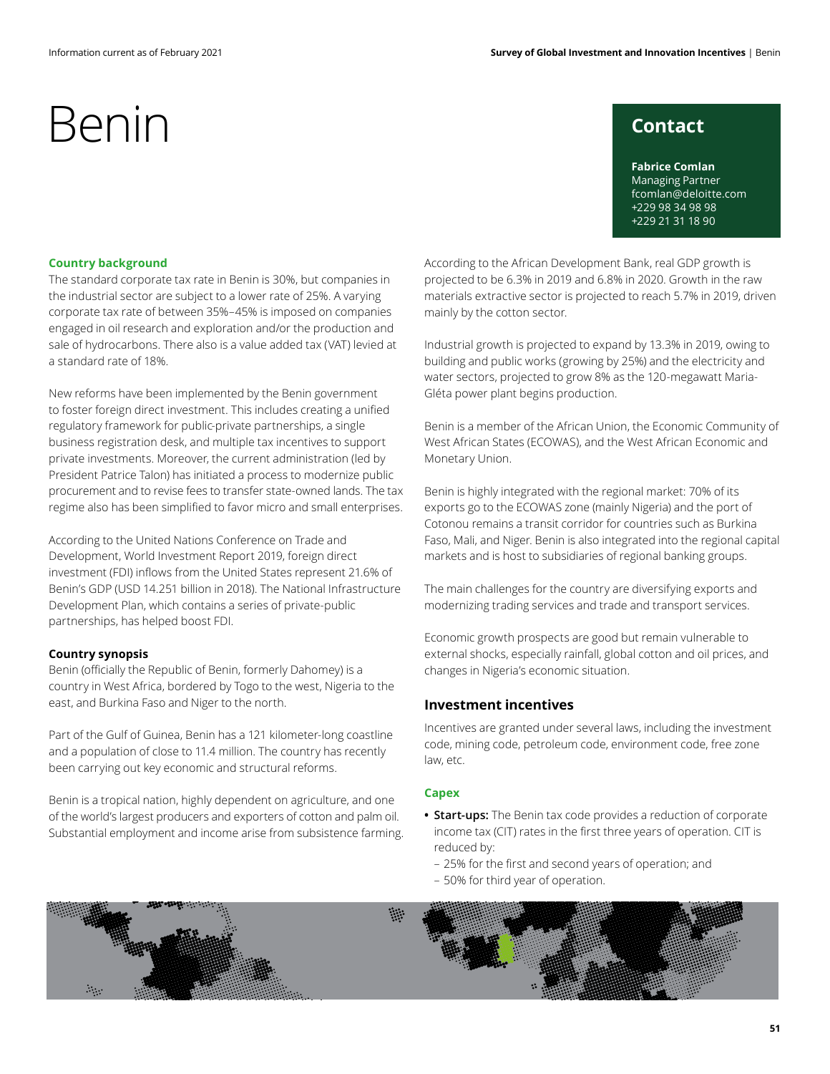## **Contact**

**Fabrice Comlan** Managing Partner fcomlan@deloitte.com +229 98 34 98 98 +229 21 31 18 90

### **Country background**

The standard corporate tax rate in Benin is 30%, but companies in the industrial sector are subject to a lower rate of 25%. A varying corporate tax rate of between 35%–45% is imposed on companies engaged in oil research and exploration and/or the production and sale of hydrocarbons. There also is a value added tax (VAT) levied at a standard rate of 18%.

New reforms have been implemented by the Benin government to foster foreign direct investment. This includes creating a unified regulatory framework for public-private partnerships, a single business registration desk, and multiple tax incentives to support private investments. Moreover, the current administration (led by President Patrice Talon) has initiated a process to modernize public procurement and to revise fees to transfer state-owned lands. The tax regime also has been simplified to favor micro and small enterprises.

According to the United Nations Conference on Trade and Development, World Investment Report 2019, foreign direct investment (FDI) inflows from the United States represent 21.6% of Benin's GDP (USD 14.251 billion in 2018). The National Infrastructure Development Plan, which contains a series of private-public partnerships, has helped boost FDI.

### **Country synopsis**

Benin (officially the Republic of Benin, formerly Dahomey) is a country in West Africa, bordered by Togo to the west, Nigeria to the east, and Burkina Faso and Niger to the north.

Part of the Gulf of Guinea, Benin has a 121 kilometer-long coastline and a population of close to 11.4 million. The country has recently been carrying out key economic and structural reforms.

Benin is a tropical nation, highly dependent on agriculture, and one of the world's largest producers and exporters of cotton and palm oil. Substantial employment and income arise from subsistence farming. According to the African Development Bank, real GDP growth is projected to be 6.3% in 2019 and 6.8% in 2020. Growth in the raw materials extractive sector is projected to reach 5.7% in 2019, driven mainly by the cotton sector.

Industrial growth is projected to expand by 13.3% in 2019, owing to building and public works (growing by 25%) and the electricity and water sectors, projected to grow 8% as the 120-megawatt Maria-Gléta power plant begins production.

Benin is a member of the African Union, the Economic Community of West African States (ECOWAS), and the West African Economic and Monetary Union.

Benin is highly integrated with the regional market: 70% of its exports go to the ECOWAS zone (mainly Nigeria) and the port of Cotonou remains a transit corridor for countries such as Burkina Faso, Mali, and Niger. Benin is also integrated into the regional capital markets and is host to subsidiaries of regional banking groups.

The main challenges for the country are diversifying exports and modernizing trading services and trade and transport services.

Economic growth prospects are good but remain vulnerable to external shocks, especially rainfall, global cotton and oil prices, and changes in Nigeria's economic situation.

## **Investment incentives**

Incentives are granted under several laws, including the investment code, mining code, petroleum code, environment code, free zone law, etc.

### **Capex**

- **• Start-ups:** The Benin tax code provides a reduction of corporate income tax (CIT) rates in the first three years of operation. CIT is reduced by:
	- 25% for the first and second years of operation; and
- 50% for third year of operation.